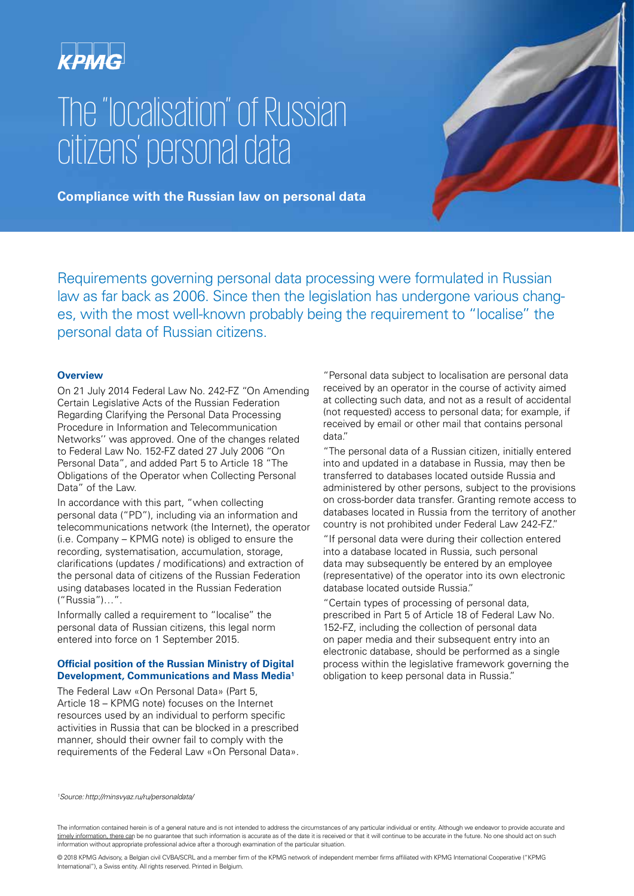

# The "localisation" of Russian citizens' personal data



**Compliance with the Russian law on personal data**

Requirements governing personal data processing were formulated in Russian law as far back as 2006. Since then the legislation has undergone various changes, with the most well-known probably being the requirement to "localise" the personal data of Russian citizens.

#### **Overview**

On 21 July 2014 Federal Law No. 242-FZ "On Amending Certain Legislative Acts of the Russian Federation Regarding Clarifying the Personal Data Processing Procedure in Information and Telecommunication Networks'' was approved. One of the changes related to Federal Law No. 152-FZ dated 27 July 2006 "On Personal Data", and added Part 5 to Article 18 "The Obligations of the Operator when Collecting Personal Data" of the Law.

In accordance with this part, "when collecting personal data ("PD"), including via an information and telecommunications network (the Internet), the operator (i.e. Company – KPMG note) is obliged to ensure the recording, systematisation, accumulation, storage, clarifications (updates / modifications) and extraction of the personal data of citizens of the Russian Federation using databases located in the Russian Federation ("Russia")…".

Informally called a requirement to "localise" the personal data of Russian citizens, this legal norm entered into force on 1 September 2015.

#### **Official position of the Russian Ministry of Digital Development, Communications and Mass Media1**

The Federal Law «On Personal Data» (Part 5, Article 18 – KPMG note) focuses on the Internet resources used by an individual to perform specific activities in Russia that can be blocked in a prescribed manner, should their owner fail to comply with the requirements of the Federal Law «On Personal Data». "Personal data subject to localisation are personal data received by an operator in the course of activity aimed at collecting such data, and not as a result of accidental (not requested) access to personal data; for example, if received by email or other mail that contains personal data."

"The personal data of a Russian citizen, initially entered into and updated in a database in Russia, may then be transferred to databases located outside Russia and administered by other persons, subject to the provisions on cross-border data transfer. Granting remote access to databases located in Russia from the territory of another country is not prohibited under Federal Law 242-FZ."

"If personal data were during their collection entered into a database located in Russia, such personal data may subsequently be entered by an employee (representative) of the operator into its own electronic database located outside Russia."

"Certain types of processing of personal data, prescribed in Part 5 of Article 18 of Federal Law No. 152-FZ, including the collection of personal data on paper media and their subsequent entry into an electronic database, should be performed as a single process within the legislative framework governing the obligation to keep personal data in Russia."

*1 Source:http://minsvyaz.ru/ru/personaldata/*

The information contained herein is of a general nature and is not intended to address the circumstances of any particular individual or entity. Although we endeavor to provide accurate and timely information, there can be no guarantee that such information is accurate as of the date it is received or that it will continue to be accurate in the future. No one should act on such information without appropriate professional advice after a thorough examination of the particular situation.

© 2018 KPMG Advisory, a Belgian civil CVBA/SCRL and a member firm of the KPMG network of independent member firms affiliated with KPMG International Cooperative ("KPMG International"), a Swiss entity. All rights reserved. Printed in Belgium.